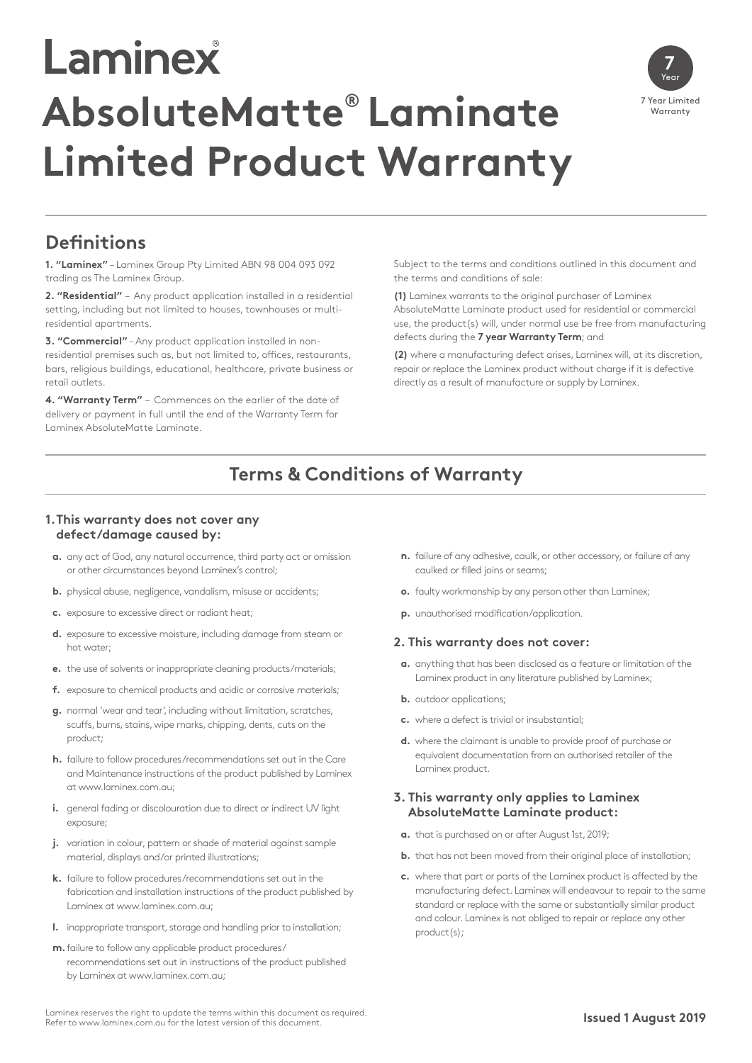# Laminex **AbsoluteMatte® Laminate Limited Product Warranty**



## **Definitions**

**1. "Laminex"** – Laminex Group Pty Limited ABN 98 004 093 092 trading as The Laminex Group.

**2. "Residential"** – Any product application installed in a residential setting, including but not limited to houses, townhouses or multiresidential apartments.

**3. "Commercial"** – Any product application installed in nonresidential premises such as, but not limited to, offices, restaurants, bars, religious buildings, educational, healthcare, private business or retail outlets.

**4. "Warranty Term"** – Commences on the earlier of the date of delivery or payment in full until the end of the Warranty Term for Laminex AbsoluteMatte Laminate.

Subject to the terms and conditions outlined in this document and the terms and conditions of sale:

**(1)** Laminex warrants to the original purchaser of Laminex AbsoluteMatte Laminate product used for residential or commercial use, the product(s) will, under normal use be free from manufacturing defects during the **7 year Warranty Term**; and

**(2)** where a manufacturing defect arises, Laminex will, at its discretion, repair or replace the Laminex product without charge if it is defective directly as a result of manufacture or supply by Laminex.

## **Terms & Conditions of Warranty**

#### **1.This warranty does not cover any defect/damage caused by:**

- **a.** any act of God, any natural occurrence, third party act or omission or other circumstances beyond Laminex's control;
- **b.** physical abuse, negligence, vandalism, misuse or accidents;
- **c.** exposure to excessive direct or radiant heat;
- **d.** exposure to excessive moisture, including damage from steam or hot water;
- **e.** the use of solvents or inappropriate cleaning products/materials;
- **f.** exposure to chemical products and acidic or corrosive materials;
- **g.** normal 'wear and tear', including without limitation, scratches, scuffs, burns, stains, wipe marks, chipping, dents, cuts on the product;
- **h.** failure to follow procedures/recommendations set out in the Care and Maintenance instructions of the product published by Laminex at www.laminex.com.au;
- **i.** general fading or discolouration due to direct or indirect UV light exposure;
- **j.** variation in colour, pattern or shade of material against sample material, displays and/or printed illustrations;
- **k.** failure to follow procedures/recommendations set out in the fabrication and installation instructions of the product published by Laminex at www.laminex.com.au;
- **l.** inappropriate transport, storage and handling prior to installation;
- **m.**failure to follow any applicable product procedures/ recommendations set out in instructions of the product published by Laminex at www.laminex.com.au;
- **n.** failure of any adhesive, caulk, or other accessory, or failure of any caulked or filled joins or seams;
- **o.** faulty workmanship by any person other than Laminex;
- **p.** unauthorised modification/application.

#### **2. This warranty does not cover:**

- **a.** anything that has been disclosed as a feature or limitation of the Laminex product in any literature published by Laminex;
- **b.** outdoor applications;
- **c.** where a defect is trivial or insubstantial;
- **d.** where the claimant is unable to provide proof of purchase or equivalent documentation from an authorised retailer of the Laminex product.

#### **3. This warranty only applies to Laminex AbsoluteMatte Laminate product:**

- **a.** that is purchased on or after August 1st, 2019;
- **b.** that has not been moved from their original place of installation;
- **c.** where that part or parts of the Laminex product is affected by the manufacturing defect. Laminex will endeavour to repair to the same standard or replace with the same or substantially similar product and colour. Laminex is not obliged to repair or replace any other product(s);